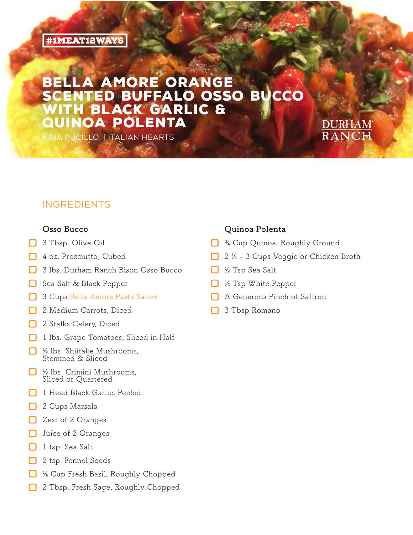### **#1MEAT12WAYS**

# AMORE ORANGE ENTED BUFFALO OSSO BUCCO **BLACK GARLIC & INOA POLENTA**

Nina Pucillo, | Italian Hearts

### **INGREDIENTS**

#### **Osso Bucco**

- **口** <sup>3</sup> Tbsp. Olive Oil
- **口** <sup>4</sup> oz. Prosciutto, Cubed
- **口** <sup>3</sup> lbs. Durham Ranch Bison Osso Bucco
- **口** Sea Salt & Black Pepper
- **口** <sup>3</sup> Cups Bella Amore Pasta Sauce
- **口** <sup>2</sup> Medium Carrots, Diced
- **口** <sup>2</sup> Stalks Celery, Diced
- **口** <sup>1</sup> lbs. Grape Tomatoes, Sliced in Half
- **口** <sup>½</sup> lbs. Shiitake Mushrooms, Stemmed & Sliced
- **口** <sup>½</sup> lbs. Crimini Mushrooms, Sliced or Quartered
- **口** <sup>1</sup> Head Black Garlic, Peeled
- **口** <sup>2</sup> Cups Marsala
- **口** Zest of <sup>2</sup> Oranges
- **口** Juice of <sup>2</sup> Oranges
- **口** <sup>1</sup> tsp. Sea Salt
- **口** <sup>2</sup> tsp. Fennel Seeds
- **口** <sup>¼</sup> Cup Fresh Basil, Roughly Chopped
- **口** <sup>2</sup> Tbsp. Fresh Sage, Roughly Chopped

#### **Quinoa Polenta**

- **口** <sup>¾</sup> Cup Quinoa, Roughly Ground
- **口** <sup>2</sup> <sup>½</sup> <sup>3</sup> Cups Veggie or Chicken Broth

DURHAM

- **口** <sup>½</sup> Tsp Sea Salt
- **口** <sup>½</sup> Tsp White Pepper
- **口** <sup>A</sup> Generous Pinch of Saffron
- **口** <sup>3</sup> Tbsp Romano